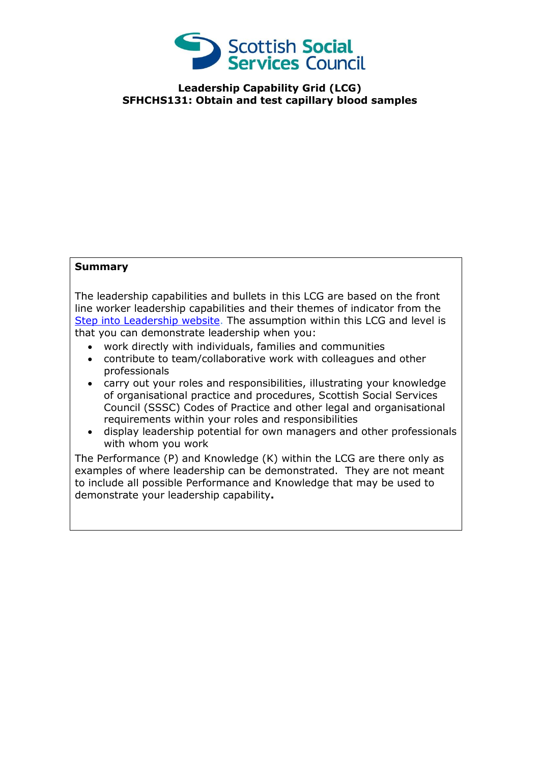

**Leadership Capability Grid (LCG) SFHCHS131: Obtain and test capillary blood samples**

## **Summary**

The leadership capabilities and bullets in this LCG are based on the front line worker leadership capabilities and their themes of indicator from the [Step into Leadership website.](http://www.stepintoleadership.info/) The assumption within this LCG and level is that you can demonstrate leadership when you:

- work directly with individuals, families and communities
- contribute to team/collaborative work with colleagues and other professionals
- carry out your roles and responsibilities, illustrating your knowledge of organisational practice and procedures, Scottish Social Services Council (SSSC) Codes of Practice and other legal and organisational requirements within your roles and responsibilities
- display leadership potential for own managers and other professionals with whom you work

The Performance (P) and Knowledge (K) within the LCG are there only as examples of where leadership can be demonstrated. They are not meant to include all possible Performance and Knowledge that may be used to demonstrate your leadership capability**.**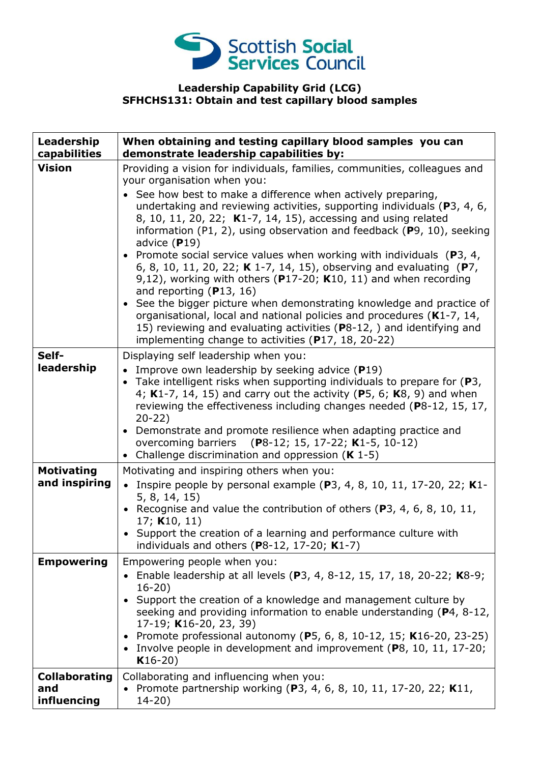

## **Leadership Capability Grid (LCG) SFHCHS131: Obtain and test capillary blood samples**

| Leadership<br>capabilities                 | When obtaining and testing capillary blood samples you can<br>demonstrate leadership capabilities by:                                                                                                                                                                                                                                                                                                                                                                                                                                                                                                                                                                                                                                                                                                                                                                                                                                                     |
|--------------------------------------------|-----------------------------------------------------------------------------------------------------------------------------------------------------------------------------------------------------------------------------------------------------------------------------------------------------------------------------------------------------------------------------------------------------------------------------------------------------------------------------------------------------------------------------------------------------------------------------------------------------------------------------------------------------------------------------------------------------------------------------------------------------------------------------------------------------------------------------------------------------------------------------------------------------------------------------------------------------------|
| <b>Vision</b>                              | Providing a vision for individuals, families, communities, colleagues and<br>your organisation when you:<br>• See how best to make a difference when actively preparing,<br>undertaking and reviewing activities, supporting individuals (P3, 4, 6,<br>8, 10, 11, 20, 22; K1-7, 14, 15), accessing and using related<br>information (P1, 2), using observation and feedback (P9, 10), seeking<br>advice $(P19)$<br>• Promote social service values when working with individuals ( $P_3$ , 4,<br>6, 8, 10, 11, 20, 22; K 1-7, 14, 15), observing and evaluating (P7,<br>9,12), working with others ( $P17-20$ ; K10, 11) and when recording<br>and reporting $(P13, 16)$<br>• See the bigger picture when demonstrating knowledge and practice of<br>organisational, local and national policies and procedures (K1-7, 14,<br>15) reviewing and evaluating activities (P8-12, ) and identifying and<br>implementing change to activities (P17, 18, 20-22) |
| Self-<br>leadership                        | Displaying self leadership when you:<br>• Improve own leadership by seeking advice $(P19)$<br>• Take intelligent risks when supporting individuals to prepare for $(P3,$<br>4; K1-7, 14, 15) and carry out the activity (P5, 6; K8, 9) and when<br>reviewing the effectiveness including changes needed (P8-12, 15, 17,<br>$20 - 22$<br>• Demonstrate and promote resilience when adapting practice and<br>overcoming barriers (P8-12; 15, 17-22; K1-5, 10-12)<br>• Challenge discrimination and oppression $(K 1-5)$                                                                                                                                                                                                                                                                                                                                                                                                                                     |
| <b>Motivating</b><br>and inspiring         | Motivating and inspiring others when you:<br>• Inspire people by personal example (P3, 4, 8, 10, 11, 17-20, 22; K1-<br>5, 8, 14, 15)<br>• Recognise and value the contribution of others (P3, 4, 6, 8, 10, 11,<br>17; K10, 11)<br>• Support the creation of a learning and performance culture with<br>individuals and others (P8-12, 17-20; $K1-7$ )                                                                                                                                                                                                                                                                                                                                                                                                                                                                                                                                                                                                     |
| <b>Empowering</b>                          | Empowering people when you:<br>• Enable leadership at all levels (P3, 4, 8-12, 15, 17, 18, 20-22; K8-9;<br>$16 - 20$<br>• Support the creation of a knowledge and management culture by<br>seeking and providing information to enable understanding (P4, 8-12,<br>17-19; K16-20, 23, 39)<br>• Promote professional autonomy (P5, 6, 8, 10-12, 15; K16-20, 23-25)<br>• Involve people in development and improvement (P8, 10, 11, 17-20;<br>$K16-20)$                                                                                                                                                                                                                                                                                                                                                                                                                                                                                                     |
| <b>Collaborating</b><br>and<br>influencing | Collaborating and influencing when you:<br>• Promote partnership working (P3, 4, 6, 8, 10, 11, 17-20, 22; K11,<br>$14 - 20$ )                                                                                                                                                                                                                                                                                                                                                                                                                                                                                                                                                                                                                                                                                                                                                                                                                             |